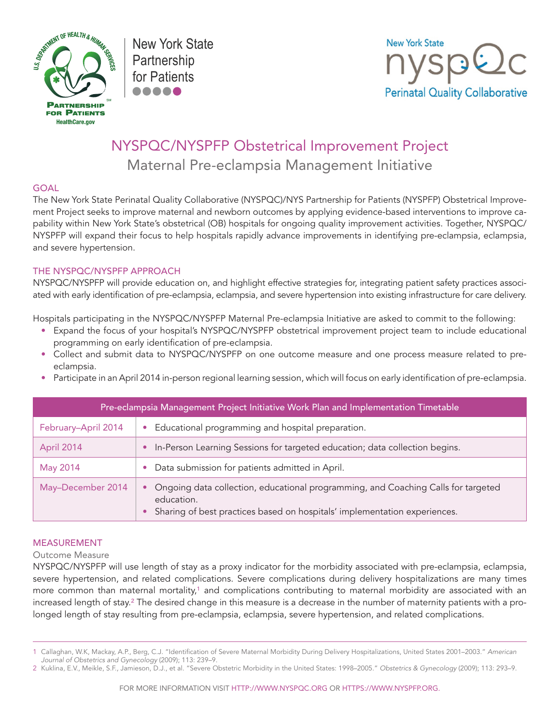

New York State Partnership for Patients



# NYSPQC/NYSPFP Obstetrical Improvement Project Maternal Pre-eclampsia Management Initiative

## GOAL

The New York State Perinatal Quality Collaborative (NYSPQC)/NYS Partnership for Patients (NYSPFP) Obstetrical Improvement Project seeks to improve maternal and newborn outcomes by applying evidence-based interventions to improve capability within New York State's obstetrical (OB) hospitals for ongoing quality improvement activities. Together, NYSPQC/ NYSPFP will expand their focus to help hospitals rapidly advance improvements in identifying pre-eclampsia, eclampsia, and severe hypertension.

# THE NYSPQC/NYSPFP APPROACH

NYSPQC/NYSPFP will provide education on, and highlight effective strategies for, integrating patient safety practices associated with early identification of pre-eclampsia, eclampsia, and severe hypertension into existing infrastructure for care delivery.

Hospitals participating in the NYSPQC/NYSPFP Maternal Pre-eclampsia Initiative are asked to commit to the following:

- Expand the focus of your hospital's NYSPQC/NYSPFP obstetrical improvement project team to include educational programming on early identification of pre-eclampsia.
- Collect and submit data to NYSPQC/NYSPFP on one outcome measure and one process measure related to preeclampsia.
- • Participate in an April 2014 in-person regional learning session, which will focus on early identification of pre-eclampsia.

| Pre-eclampsia Management Project Initiative Work Plan and Implementation Timetable |                                                                                                                                                                              |  |
|------------------------------------------------------------------------------------|------------------------------------------------------------------------------------------------------------------------------------------------------------------------------|--|
| February-April 2014                                                                | Educational programming and hospital preparation.                                                                                                                            |  |
| April 2014                                                                         | In-Person Learning Sessions for targeted education; data collection begins.                                                                                                  |  |
| May 2014                                                                           | Data submission for patients admitted in April.                                                                                                                              |  |
| May-December 2014                                                                  | Ongoing data collection, educational programming, and Coaching Calls for targeted<br>education.<br>Sharing of best practices based on hospitals' implementation experiences. |  |

#### MEASUREMENT

#### Outcome Measure

NYSPQC/NYSPFP will use length of stay as a proxy indicator for the morbidity associated with pre-eclampsia, eclampsia, severe hypertension, and related complications. Severe complications during delivery hospitalizations are many times more common than maternal mortality,<sup>1</sup> and complications contributing to maternal morbidity are associated with an increased length of stay.<sup>2</sup> The desired change in this measure is a decrease in the number of maternity patients with a prolonged length of stay resulting from pre-eclampsia, eclampsia, severe hypertension, and related complications.

<sup>1</sup> Callaghan, W.K, Mackay, A.P., Berg, C.J. "Identification of Severe Maternal Morbidity During Delivery Hospitalizations, United States 2001–2003." *American Journal of Obstetrics and Gynecology* (2009); 113: 239–9.

<sup>2</sup> Kuklina, E.V., Meikle, S.F., Jamieson, D.J., et al. "Severe Obstetric Morbidity in the United States: 1998–2005." *Obstetrics & Gynecology* (2009); 113: 293–9.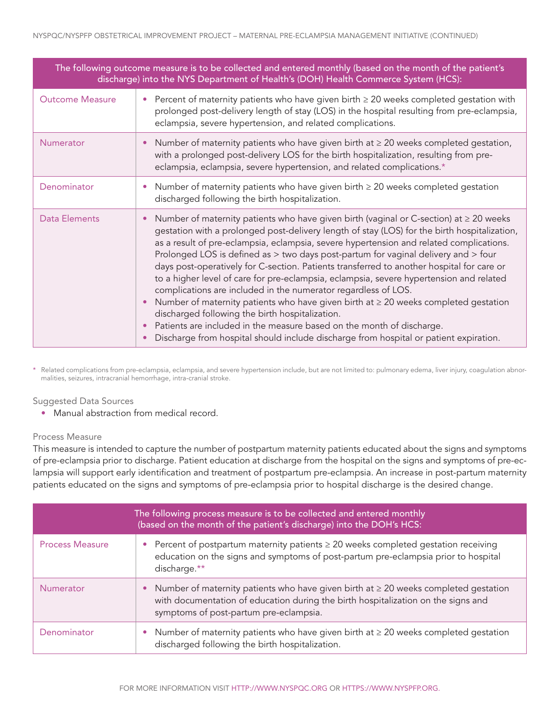| The following outcome measure is to be collected and entered monthly (based on the month of the patient's<br>discharge) into the NYS Department of Health's (DOH) Health Commerce System (HCS): |                                                                                                                                                                                                                                                                                                                                                                                                                                                                                                                                                                                                                                                                                                                                                                                                                                                                                                                                                         |  |
|-------------------------------------------------------------------------------------------------------------------------------------------------------------------------------------------------|---------------------------------------------------------------------------------------------------------------------------------------------------------------------------------------------------------------------------------------------------------------------------------------------------------------------------------------------------------------------------------------------------------------------------------------------------------------------------------------------------------------------------------------------------------------------------------------------------------------------------------------------------------------------------------------------------------------------------------------------------------------------------------------------------------------------------------------------------------------------------------------------------------------------------------------------------------|--|
| <b>Outcome Measure</b>                                                                                                                                                                          | Percent of maternity patients who have given birth $\geq 20$ weeks completed gestation with<br>prolonged post-delivery length of stay (LOS) in the hospital resulting from pre-eclampsia,<br>eclampsia, severe hypertension, and related complications.                                                                                                                                                                                                                                                                                                                                                                                                                                                                                                                                                                                                                                                                                                 |  |
| Numerator                                                                                                                                                                                       | Number of maternity patients who have given birth at ≥ 20 weeks completed gestation,<br>with a prolonged post-delivery LOS for the birth hospitalization, resulting from pre-<br>eclampsia, eclampsia, severe hypertension, and related complications.*                                                                                                                                                                                                                                                                                                                                                                                                                                                                                                                                                                                                                                                                                                 |  |
| Denominator                                                                                                                                                                                     | Number of maternity patients who have given birth $\geq 20$ weeks completed gestation<br>discharged following the birth hospitalization.                                                                                                                                                                                                                                                                                                                                                                                                                                                                                                                                                                                                                                                                                                                                                                                                                |  |
| Data Elements                                                                                                                                                                                   | Number of maternity patients who have given birth (vaginal or C-section) at $\geq$ 20 weeks<br>gestation with a prolonged post-delivery length of stay (LOS) for the birth hospitalization,<br>as a result of pre-eclampsia, eclampsia, severe hypertension and related complications.<br>Prolonged LOS is defined as > two days post-partum for vaginal delivery and > four<br>days post-operatively for C-section. Patients transferred to another hospital for care or<br>to a higher level of care for pre-eclampsia, eclampsia, severe hypertension and related<br>complications are included in the numerator regardless of LOS.<br>Number of maternity patients who have given birth at $\geq 20$ weeks completed gestation<br>discharged following the birth hospitalization.<br>Patients are included in the measure based on the month of discharge.<br>Discharge from hospital should include discharge from hospital or patient expiration. |  |

\* Related complications from pre-eclampsia, eclampsia, and severe hypertension include, but are not limited to: pulmonary edema, liver injury, coagulation abnormalities, seizures, intracranial hemorrhage, intra-cranial stroke.

#### Suggested Data Sources

• Manual abstraction from medical record.

#### Process Measure

This measure is intended to capture the number of postpartum maternity patients educated about the signs and symptoms of pre-eclampsia prior to discharge. Patient education at discharge from the hospital on the signs and symptoms of pre-eclampsia will support early identification and treatment of postpartum pre-eclampsia. An increase in post-partum maternity patients educated on the signs and symptoms of pre-eclampsia prior to hospital discharge is the desired change.

| The following process measure is to be collected and entered monthly<br>(based on the month of the patient's discharge) into the DOH's HCS: |                                                                                                                                                                                                                                      |  |
|---------------------------------------------------------------------------------------------------------------------------------------------|--------------------------------------------------------------------------------------------------------------------------------------------------------------------------------------------------------------------------------------|--|
| <b>Process Measure</b>                                                                                                                      | • Percent of postpartum maternity patients $\geq 20$ weeks completed gestation receiving<br>education on the signs and symptoms of post-partum pre-eclampsia prior to hospital<br>discharge.**                                       |  |
| Numerator                                                                                                                                   | Number of maternity patients who have given birth at $\geq 20$ weeks completed gestation<br>$\bullet$<br>with documentation of education during the birth hospitalization on the signs and<br>symptoms of post-partum pre-eclampsia. |  |
| Denominator                                                                                                                                 | Number of maternity patients who have given birth at $\geq 20$ weeks completed gestation<br>$\bullet$<br>discharged following the birth hospitalization.                                                                             |  |